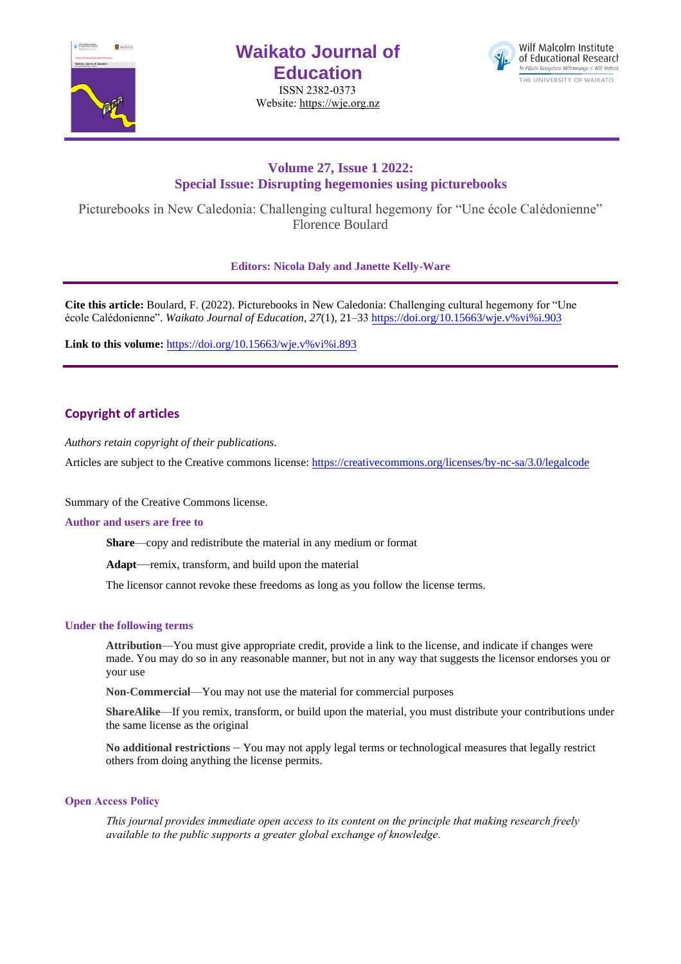

# **Waikato Journal of Education**

ISSN 2382-0373 Website[: https://wje.org.nz](https://wje.org.nz/)



# **Volume 27, Issue 1 2022: Special Issue: Disrupting hegemonies using picturebooks**

Picturebooks in New Caledonia: Challenging cultural hegemony for "Une école Calédonienne" Florence Boulard

**Editors: Nicola Daly and Janette Kelly-Ware**

**Cite this article:** Boulard, F. (2022). Picturebooks in New Caledonia: Challenging cultural hegemony for "Une école Calédonienne". *Waikato Journal of Education, 27*(1), 21–33 [https://doi.org/10.15663/wje.v%vi%i](https://doi.org/10.15663/wje.v%25vi%25i.903).903

**Link to this volume:** [https://doi.org/10.15663/wje.v%vi%i.893](https://doi.org/10.15663/wje.v%25vi%25i.893)

# **Copyright of articles**

*Authors retain copyright of their publications.*

Articles are subject to the Creative commons license: https://creativecommons.org/licenses/by-nc-sa/3.0/legalcode

Summary of the Creative Commons license.

### **Author and users are free to**

**Share**—copy and redistribute the material in any medium or format

**Adapt**—remix, transform, and build upon the material

The licensor cannot revoke these freedoms as long as you follow the license terms.

### **Under the following terms**

**Attribution**—You must give appropriate credit, provide a link to the license, and indicate if changes were made. You may do so in any reasonable manner, but not in any way that suggests the licensor endorses you or your use

**Non-Commercial**—You may not use the material for commercial purposes

**ShareAlike**—If you remix, transform, or build upon the material, you must distribute your contributions under the same license as the original

**No additional restrictions** – You may not apply legal terms or technological measures that legally restrict others from doing anything the license permits.

### **Open Access Policy**

*This journal provides immediate open access to its content on the principle that making research freely available to the public supports a greater global exchange of knowledge.*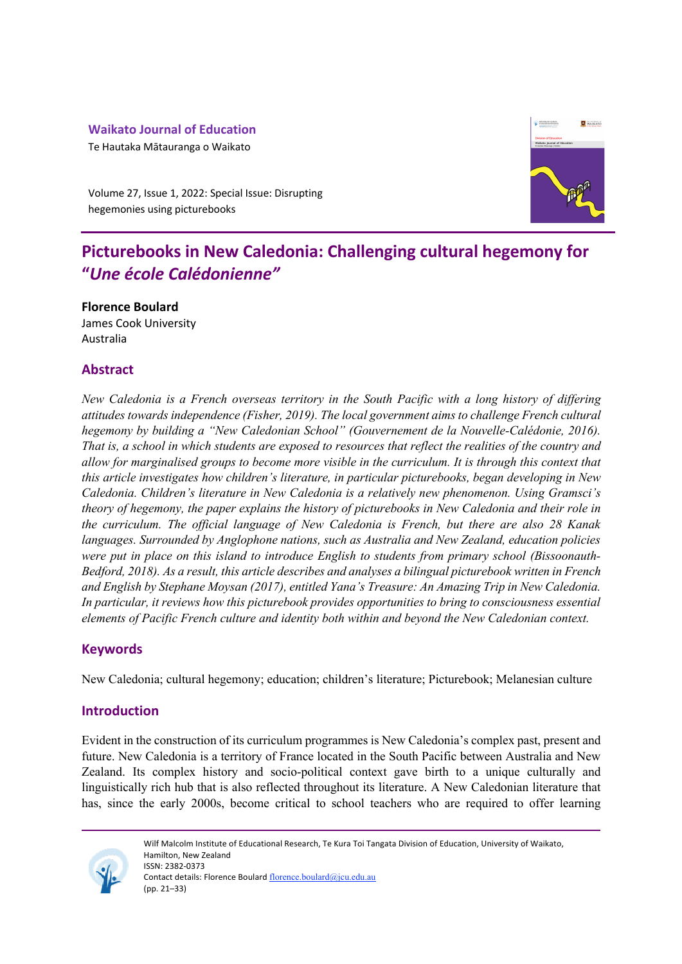# **Waikato Journal of Education**

Te Hautaka Mātauranga o Waikato



Volume 27, Issue 1, 2022: Special Issue: Disrupting hegemonies using picturebooks

# **Picturebooks in New Caledonia: Challenging cultural hegemony for "***Une école Calédonienne"*

**Florence Boulard** James Cook University Australia

# **Abstract**

*New Caledonia is a French overseas territory in the South Pacific with a long history of differing attitudes towards independence (Fisher, 2019). The local government aims to challenge French cultural hegemony by building a "New Caledonian School" (Gouvernement de la Nouvelle-Calédonie, 2016). That is, a school in which students are exposed to resources that reflect the realities of the country and allow for marginalised groups to become more visible in the curriculum. It is through this context that this article investigates how children's literature, in particular picturebooks, began developing in New Caledonia. Children's literature in New Caledonia is a relatively new phenomenon. Using Gramsci's theory of hegemony, the paper explains the history of picturebooks in New Caledonia and their role in the curriculum. The official language of New Caledonia is French, but there are also 28 Kanak languages. Surrounded by Anglophone nations, such as Australia and New Zealand, education policies were put in place on this island to introduce English to students from primary school (Bissoonauth-Bedford, 2018). As a result, this article describes and analyses a bilingual picturebook written in French and English by Stephane Moysan (2017), entitled Yana's Treasure: An Amazing Trip in New Caledonia. In particular, it reviews how this picturebook provides opportunities to bring to consciousness essential elements of Pacific French culture and identity both within and beyond the New Caledonian context.* 

# **Keywords**

New Caledonia; cultural hegemony; education; children's literature; Picturebook; Melanesian culture

# **Introduction**

Evident in the construction of its curriculum programmes is New Caledonia's complex past, present and future. New Caledonia is a territory of France located in the South Pacific between Australia and New Zealand. Its complex history and socio-political context gave birth to a unique culturally and linguistically rich hub that is also reflected throughout its literature. A New Caledonian literature that has, since the early 2000s, become critical to school teachers who are required to offer learning

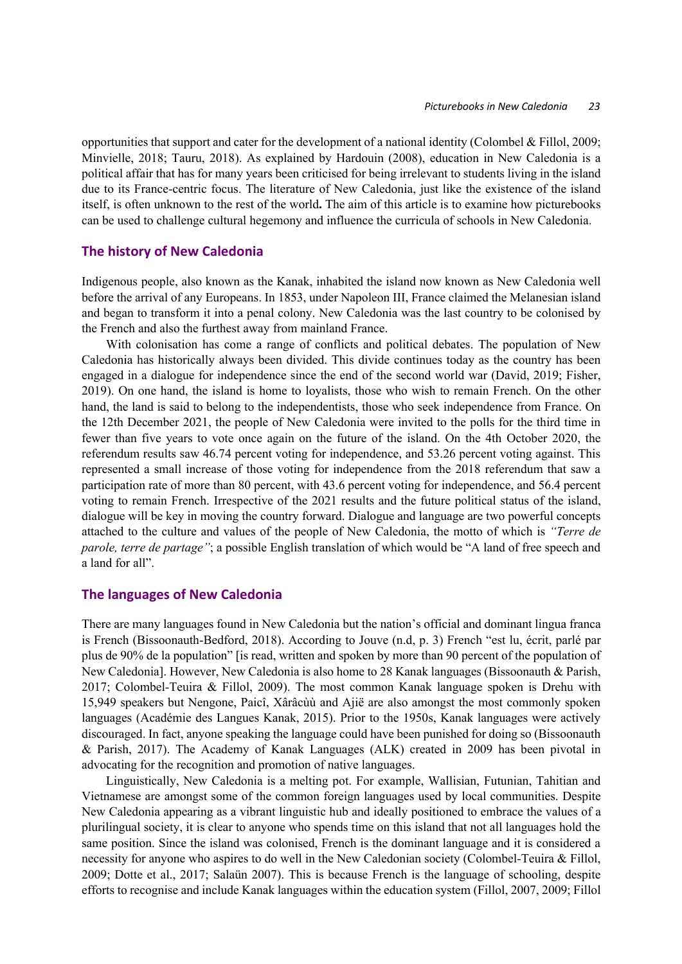opportunities that support and cater for the development of a national identity (Colombel & Fillol, 2009; Minvielle, 2018; Tauru, 2018). As explained by Hardouin (2008), education in New Caledonia is a political affair that has for many years been criticised for being irrelevant to students living in the island due to its France-centric focus. The literature of New Caledonia, just like the existence of the island itself, is often unknown to the rest of the world**.** The aim of this article is to examine how picturebooks can be used to challenge cultural hegemony and influence the curricula of schools in New Caledonia.

## **The history of New Caledonia**

Indigenous people, also known as the Kanak, inhabited the island now known as New Caledonia well before the arrival of any Europeans. In 1853, under Napoleon III, France claimed the Melanesian island and began to transform it into a penal colony. New Caledonia was the last country to be colonised by the French and also the furthest away from mainland France.

With colonisation has come a range of conflicts and political debates. The population of New Caledonia has historically always been divided. This divide continues today as the country has been engaged in a dialogue for independence since the end of the second world war (David, 2019; Fisher, 2019). On one hand, the island is home to loyalists, those who wish to remain French. On the other hand, the land is said to belong to the independentists, those who seek independence from France. On the 12th December 2021, the people of New Caledonia were invited to the polls for the third time in fewer than five years to vote once again on the future of the island. On the 4th October 2020, the referendum results saw 46.74 percent voting for independence, and 53.26 percent voting against. This represented a small increase of those voting for independence from the 2018 referendum that saw a participation rate of more than 80 percent, with 43.6 percent voting for independence, and 56.4 percent voting to remain French. Irrespective of the 2021 results and the future political status of the island, dialogue will be key in moving the country forward. Dialogue and language are two powerful concepts attached to the culture and values of the people of New Caledonia, the motto of which is *"Terre de parole, terre de partage"*; a possible English translation of which would be "A land of free speech and a land for all".

## **The languages of New Caledonia**

There are many languages found in New Caledonia but the nation's official and dominant lingua franca is French (Bissoonauth-Bedford, 2018). According to Jouve (n.d, p. 3) French "est lu, écrit, parlé par plus de 90% de la population" [is read, written and spoken by more than 90 percent of the population of New Caledonia]. However, New Caledonia is also home to 28 Kanak languages (Bissoonauth & Parish, 2017; Colombel-Teuira & Fillol, 2009). The most common Kanak language spoken is Drehu with 15,949 speakers but Nengone, Paicî, Xârâcùù and Ajië are also amongst the most commonly spoken languages (Académie des Langues Kanak, 2015). Prior to the 1950s, Kanak languages were actively discouraged. In fact, anyone speaking the language could have been punished for doing so (Bissoonauth & Parish, 2017). The Academy of Kanak Languages (ALK) created in 2009 has been pivotal in advocating for the recognition and promotion of native languages.

Linguistically, New Caledonia is a melting pot. For example, Wallisian, Futunian, Tahitian and Vietnamese are amongst some of the common foreign languages used by local communities. Despite New Caledonia appearing as a vibrant linguistic hub and ideally positioned to embrace the values of a plurilingual society, it is clear to anyone who spends time on this island that not all languages hold the same position. Since the island was colonised, French is the dominant language and it is considered a necessity for anyone who aspires to do well in the New Caledonian society (Colombel-Teuira & Fillol, 2009; Dotte et al., 2017; Salaün 2007). This is because French is the language of schooling, despite efforts to recognise and include Kanak languages within the education system (Fillol, 2007, 2009; Fillol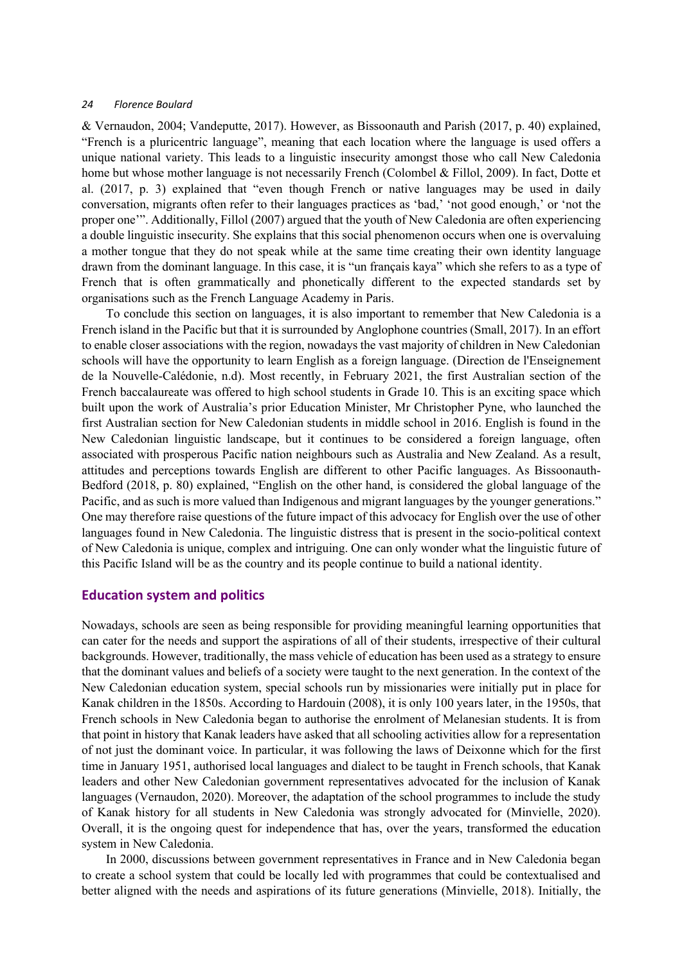& Vernaudon, 2004; Vandeputte, 2017). However, as Bissoonauth and Parish (2017, p. 40) explained, "French is a pluricentric language", meaning that each location where the language is used offers a unique national variety. This leads to a linguistic insecurity amongst those who call New Caledonia home but whose mother language is not necessarily French (Colombel & Fillol, 2009). In fact, Dotte et al. (2017, p. 3) explained that "even though French or native languages may be used in daily conversation, migrants often refer to their languages practices as 'bad,' 'not good enough,' or 'not the proper one'". Additionally, Fillol (2007) argued that the youth of New Caledonia are often experiencing a double linguistic insecurity. She explains that this social phenomenon occurs when one is overvaluing a mother tongue that they do not speak while at the same time creating their own identity language drawn from the dominant language. In this case, it is "un français kaya" which she refers to as a type of French that is often grammatically and phonetically different to the expected standards set by organisations such as the French Language Academy in Paris.

To conclude this section on languages, it is also important to remember that New Caledonia is a French island in the Pacific but that it is surrounded by Anglophone countries (Small, 2017). In an effort to enable closer associations with the region, nowadays the vast majority of children in New Caledonian schools will have the opportunity to learn English as a foreign language. (Direction de l'Enseignement de la Nouvelle-Calédonie, n.d). Most recently, in February 2021, the first Australian section of the French baccalaureate was offered to high school students in Grade 10. This is an exciting space which built upon the work of Australia's prior Education Minister, Mr Christopher Pyne, who launched the first Australian section for New Caledonian students in middle school in 2016. English is found in the New Caledonian linguistic landscape, but it continues to be considered a foreign language, often associated with prosperous Pacific nation neighbours such as Australia and New Zealand. As a result, attitudes and perceptions towards English are different to other Pacific languages. As Bissoonauth-Bedford (2018, p. 80) explained, "English on the other hand, is considered the global language of the Pacific, and as such is more valued than Indigenous and migrant languages by the younger generations." One may therefore raise questions of the future impact of this advocacy for English over the use of other languages found in New Caledonia. The linguistic distress that is present in the socio-political context of New Caledonia is unique, complex and intriguing. One can only wonder what the linguistic future of this Pacific Island will be as the country and its people continue to build a national identity.

# **Education system and politics**

Nowadays, schools are seen as being responsible for providing meaningful learning opportunities that can cater for the needs and support the aspirations of all of their students, irrespective of their cultural backgrounds. However, traditionally, the mass vehicle of education has been used as a strategy to ensure that the dominant values and beliefs of a society were taught to the next generation. In the context of the New Caledonian education system, special schools run by missionaries were initially put in place for Kanak children in the 1850s. According to Hardouin (2008), it is only 100 years later, in the 1950s, that French schools in New Caledonia began to authorise the enrolment of Melanesian students. It is from that point in history that Kanak leaders have asked that all schooling activities allow for a representation of not just the dominant voice. In particular, it was following the laws of Deixonne which for the first time in January 1951, authorised local languages and dialect to be taught in French schools, that Kanak leaders and other New Caledonian government representatives advocated for the inclusion of Kanak languages (Vernaudon, 2020). Moreover, the adaptation of the school programmes to include the study of Kanak history for all students in New Caledonia was strongly advocated for (Minvielle, 2020). Overall, it is the ongoing quest for independence that has, over the years, transformed the education system in New Caledonia.

In 2000, discussions between government representatives in France and in New Caledonia began to create a school system that could be locally led with programmes that could be contextualised and better aligned with the needs and aspirations of its future generations (Minvielle, 2018). Initially, the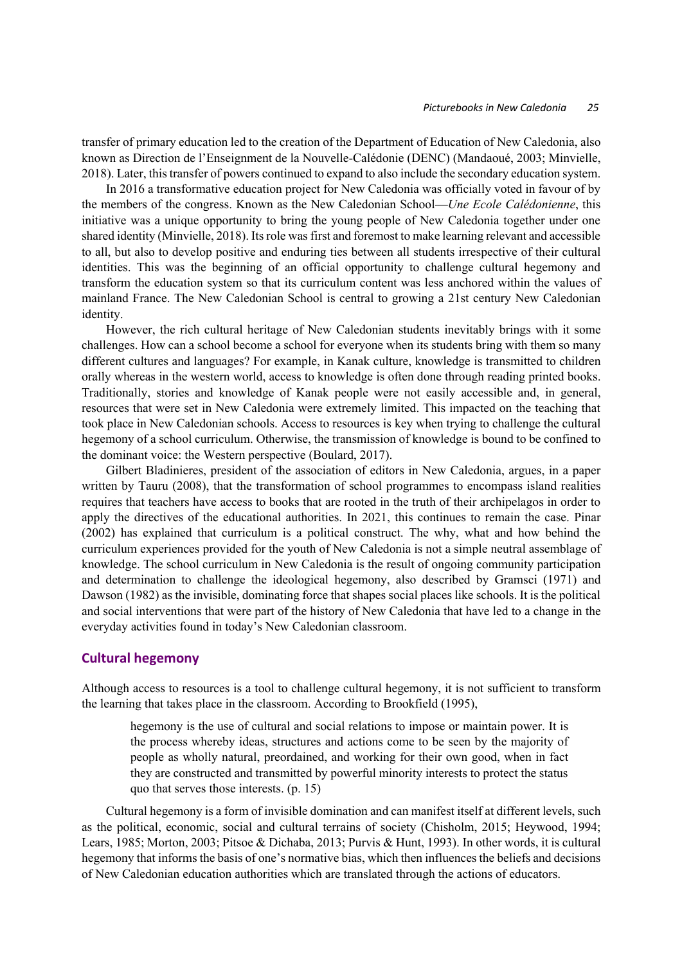transfer of primary education led to the creation of the Department of Education of New Caledonia, also known as Direction de l'Enseignment de la Nouvelle-Calédonie (DENC) (Mandaoué, 2003; Minvielle, 2018). Later, this transfer of powers continued to expand to also include the secondary education system.

In 2016 a transformative education project for New Caledonia was officially voted in favour of by the members of the congress. Known as the New Caledonian School—*Une Ecole Calédonienne*, this initiative was a unique opportunity to bring the young people of New Caledonia together under one shared identity (Minvielle, 2018). Its role was first and foremost to make learning relevant and accessible to all, but also to develop positive and enduring ties between all students irrespective of their cultural identities. This was the beginning of an official opportunity to challenge cultural hegemony and transform the education system so that its curriculum content was less anchored within the values of mainland France. The New Caledonian School is central to growing a 21st century New Caledonian identity.

However, the rich cultural heritage of New Caledonian students inevitably brings with it some challenges. How can a school become a school for everyone when its students bring with them so many different cultures and languages? For example, in Kanak culture, knowledge is transmitted to children orally whereas in the western world, access to knowledge is often done through reading printed books. Traditionally, stories and knowledge of Kanak people were not easily accessible and, in general, resources that were set in New Caledonia were extremely limited. This impacted on the teaching that took place in New Caledonian schools. Access to resources is key when trying to challenge the cultural hegemony of a school curriculum. Otherwise, the transmission of knowledge is bound to be confined to the dominant voice: the Western perspective (Boulard, 2017).

Gilbert Bladinieres, president of the association of editors in New Caledonia, argues, in a paper written by Tauru (2008), that the transformation of school programmes to encompass island realities requires that teachers have access to books that are rooted in the truth of their archipelagos in order to apply the directives of the educational authorities. In 2021, this continues to remain the case. Pinar (2002) has explained that curriculum is a political construct. The why, what and how behind the curriculum experiences provided for the youth of New Caledonia is not a simple neutral assemblage of knowledge. The school curriculum in New Caledonia is the result of ongoing community participation and determination to challenge the ideological hegemony, also described by Gramsci (1971) and Dawson (1982) as the invisible, dominating force that shapes social places like schools. It is the political and social interventions that were part of the history of New Caledonia that have led to a change in the everyday activities found in today's New Caledonian classroom.

# **Cultural hegemony**

Although access to resources is a tool to challenge cultural hegemony, it is not sufficient to transform the learning that takes place in the classroom. According to Brookfield (1995),

hegemony is the use of cultural and social relations to impose or maintain power. It is the process whereby ideas, structures and actions come to be seen by the majority of people as wholly natural, preordained, and working for their own good, when in fact they are constructed and transmitted by powerful minority interests to protect the status quo that serves those interests. (p. 15)

Cultural hegemony is a form of invisible domination and can manifest itself at different levels, such as the political, economic, social and cultural terrains of society (Chisholm, 2015; Heywood, 1994; Lears, 1985; Morton, 2003; Pitsoe & Dichaba, 2013; Purvis & Hunt, 1993). In other words, it is cultural hegemony that informs the basis of one's normative bias, which then influences the beliefs and decisions of New Caledonian education authorities which are translated through the actions of educators.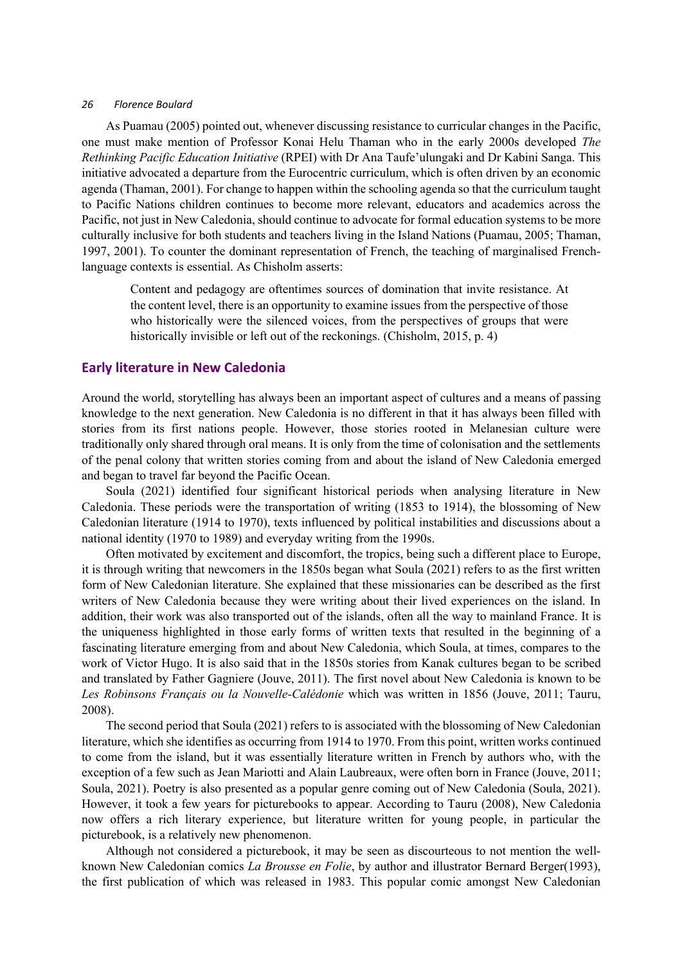As Puamau (2005) pointed out, whenever discussing resistance to curricular changes in the Pacific, one must make mention of Professor Konai Helu Thaman who in the early 2000s developed *The Rethinking Pacific Education Initiative* (RPEI) with Dr Ana Taufe'ulungaki and Dr Kabini Sanga. This initiative advocated a departure from the Eurocentric curriculum, which is often driven by an economic agenda (Thaman, 2001). For change to happen within the schooling agenda so that the curriculum taught to Pacific Nations children continues to become more relevant, educators and academics across the Pacific, not just in New Caledonia, should continue to advocate for formal education systems to be more culturally inclusive for both students and teachers living in the Island Nations (Puamau, 2005; Thaman, 1997, 2001). To counter the dominant representation of French, the teaching of marginalised Frenchlanguage contexts is essential. As Chisholm asserts:

Content and pedagogy are oftentimes sources of domination that invite resistance. At the content level, there is an opportunity to examine issues from the perspective of those who historically were the silenced voices, from the perspectives of groups that were historically invisible or left out of the reckonings. (Chisholm, 2015, p. 4)

# **Early literature in New Caledonia**

Around the world, storytelling has always been an important aspect of cultures and a means of passing knowledge to the next generation. New Caledonia is no different in that it has always been filled with stories from its first nations people. However, those stories rooted in Melanesian culture were traditionally only shared through oral means. It is only from the time of colonisation and the settlements of the penal colony that written stories coming from and about the island of New Caledonia emerged and began to travel far beyond the Pacific Ocean.

Soula (2021) identified four significant historical periods when analysing literature in New Caledonia. These periods were the transportation of writing (1853 to 1914), the blossoming of New Caledonian literature (1914 to 1970), texts influenced by political instabilities and discussions about a national identity (1970 to 1989) and everyday writing from the 1990s.

Often motivated by excitement and discomfort, the tropics, being such a different place to Europe, it is through writing that newcomers in the 1850s began what Soula (2021) refers to as the first written form of New Caledonian literature. She explained that these missionaries can be described as the first writers of New Caledonia because they were writing about their lived experiences on the island. In addition, their work was also transported out of the islands, often all the way to mainland France. It is the uniqueness highlighted in those early forms of written texts that resulted in the beginning of a fascinating literature emerging from and about New Caledonia, which Soula, at times, compares to the work of Victor Hugo. It is also said that in the 1850s stories from Kanak cultures began to be scribed and translated by Father Gagniere (Jouve, 2011). The first novel about New Caledonia is known to be *Les Robinsons Français ou la Nouvelle-Calédonie* which was written in 1856 (Jouve, 2011; Tauru, 2008).

The second period that Soula (2021) refers to is associated with the blossoming of New Caledonian literature, which she identifies as occurring from 1914 to 1970. From this point, written works continued to come from the island, but it was essentially literature written in French by authors who, with the exception of a few such as Jean Mariotti and Alain Laubreaux, were often born in France (Jouve, 2011; Soula, 2021). Poetry is also presented as a popular genre coming out of New Caledonia (Soula, 2021). However, it took a few years for picturebooks to appear. According to Tauru (2008), New Caledonia now offers a rich literary experience, but literature written for young people, in particular the picturebook, is a relatively new phenomenon.

Although not considered a picturebook, it may be seen as discourteous to not mention the wellknown New Caledonian comics *La Brousse en Folie*, by author and illustrator Bernard Berger(1993), the first publication of which was released in 1983. This popular comic amongst New Caledonian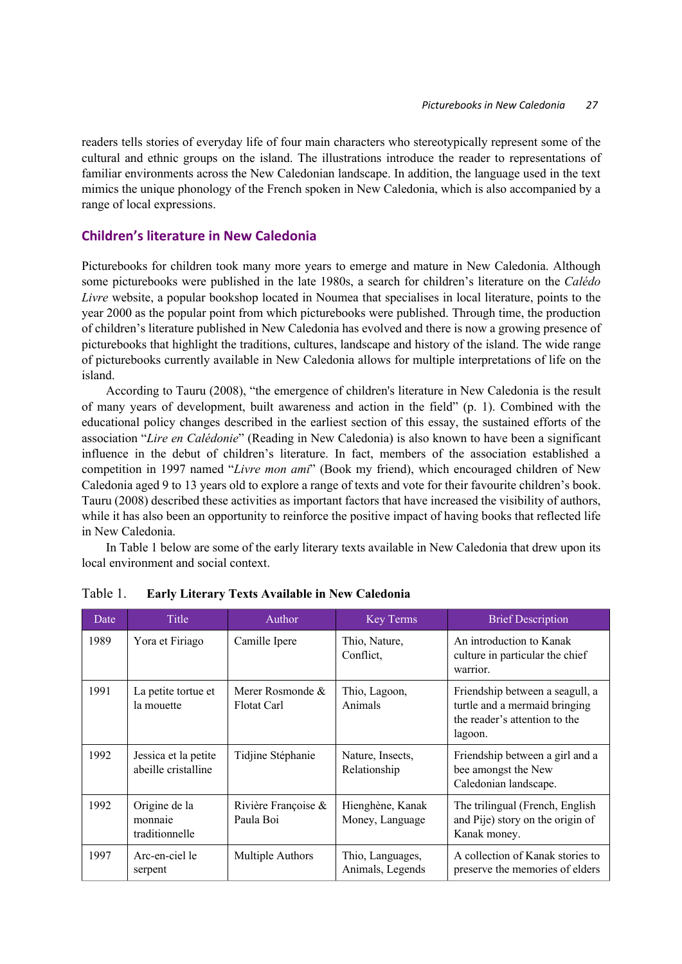readers tells stories of everyday life of four main characters who stereotypically represent some of the cultural and ethnic groups on the island. The illustrations introduce the reader to representations of familiar environments across the New Caledonian landscape. In addition, the language used in the text mimics the unique phonology of the French spoken in New Caledonia, which is also accompanied by a range of local expressions.

# **Children's literature in New Caledonia**

Picturebooks for children took many more years to emerge and mature in New Caledonia. Although some picturebooks were published in the late 1980s, a search for children's literature on the *Calédo Livre* website, a popular bookshop located in Noumea that specialises in local literature, points to the year 2000 as the popular point from which picturebooks were published. Through time, the production of children's literature published in New Caledonia has evolved and there is now a growing presence of picturebooks that highlight the traditions, cultures, landscape and history of the island. The wide range of picturebooks currently available in New Caledonia allows for multiple interpretations of life on the island.

According to Tauru (2008), "the emergence of children's literature in New Caledonia is the result of many years of development, built awareness and action in the field" (p. 1). Combined with the educational policy changes described in the earliest section of this essay, the sustained efforts of the association "*Lire en Calédonie*" (Reading in New Caledonia) is also known to have been a significant influence in the debut of children's literature. In fact, members of the association established a competition in 1997 named "*Livre mon ami*" (Book my friend), which encouraged children of New Caledonia aged 9 to 13 years old to explore a range of texts and vote for their favourite children's book. Tauru (2008) described these activities as important factors that have increased the visibility of authors, while it has also been an opportunity to reinforce the positive impact of having books that reflected life in New Caledonia.

In Table 1 below are some of the early literary texts available in New Caledonia that drew upon its local environment and social context.

| Date | Title                                       | Author                             | Key Terms                            | <b>Brief Description</b>                                                                                     |
|------|---------------------------------------------|------------------------------------|--------------------------------------|--------------------------------------------------------------------------------------------------------------|
| 1989 | Yora et Firiago                             | Camille Ipere                      | Thio, Nature,<br>Conflict,           | An introduction to Kanak<br>culture in particular the chief<br>warrior.                                      |
| 1991 | La petite tortue et<br>la mouette           | Merer Rosmonde $\&$<br>Flotat Carl | Thio, Lagoon,<br>Animals             | Friendship between a seagull, a<br>turtle and a mermaid bringing<br>the reader's attention to the<br>lagoon. |
| 1992 | Jessica et la petite<br>abeille cristalline | Tidjine Stéphanie                  | Nature, Insects,<br>Relationship     | Friendship between a girl and a<br>bee amongst the New<br>Caledonian landscape.                              |
| 1992 | Origine de la<br>monnaie<br>traditionnelle  | Rivière Françoise &<br>Paula Boi   | Hienghène, Kanak<br>Money, Language  | The trilingual (French, English<br>and Pije) story on the origin of<br>Kanak money.                          |
| 1997 | Arc-en-ciel le<br>serpent                   | Multiple Authors                   | Thio, Languages,<br>Animals, Legends | A collection of Kanak stories to<br>preserve the memories of elders                                          |

Table 1. **Early Literary Texts Available in New Caledonia**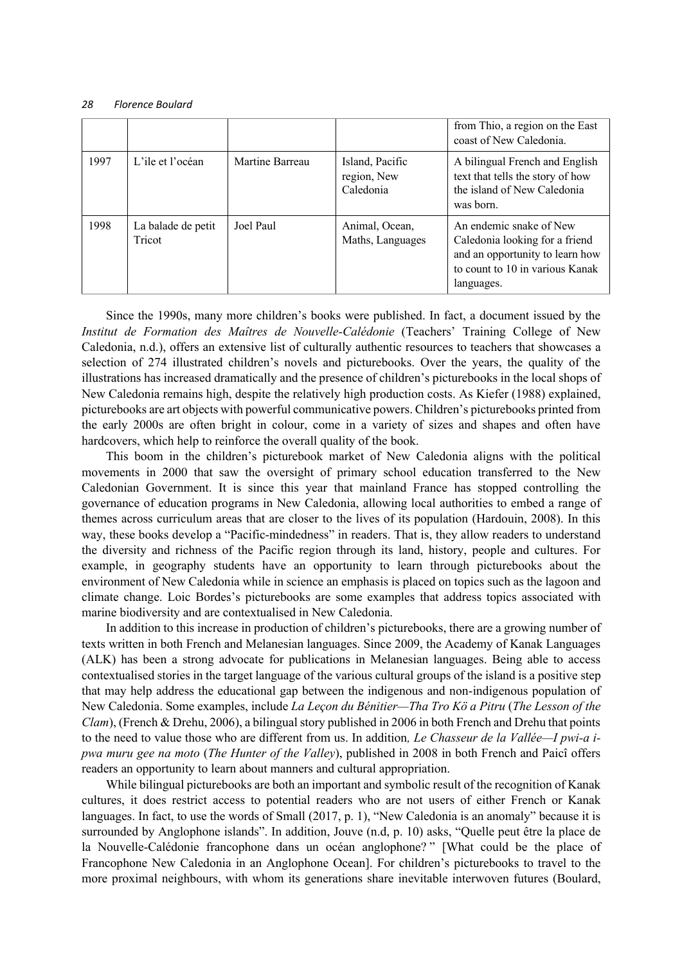|      |                              |                 |                                             | from Thio, a region on the East<br>coast of New Caledonia.                                                                                    |
|------|------------------------------|-----------------|---------------------------------------------|-----------------------------------------------------------------------------------------------------------------------------------------------|
| 1997 | L'ile et l'océan             | Martine Barreau | Island, Pacific<br>region, New<br>Caledonia | A bilingual French and English<br>text that tells the story of how<br>the island of New Caledonia<br>was born.                                |
| 1998 | La balade de petit<br>Tricot | Joel Paul       | Animal, Ocean,<br>Maths, Languages          | An endemic snake of New<br>Caledonia looking for a friend<br>and an opportunity to learn how<br>to count to 10 in various Kanak<br>languages. |

Since the 1990s, many more children's books were published. In fact, a document issued by the *Institut de Formation des Maîtres de Nouvelle-Calédonie* (Teachers' Training College of New Caledonia, n.d.), offers an extensive list of culturally authentic resources to teachers that showcases a selection of 274 illustrated children's novels and picturebooks. Over the years, the quality of the illustrations has increased dramatically and the presence of children's picturebooks in the local shops of New Caledonia remains high, despite the relatively high production costs. As Kiefer (1988) explained, picturebooks are art objects with powerful communicative powers. Children's picturebooks printed from the early 2000s are often bright in colour, come in a variety of sizes and shapes and often have hardcovers, which help to reinforce the overall quality of the book.

This boom in the children's picturebook market of New Caledonia aligns with the political movements in 2000 that saw the oversight of primary school education transferred to the New Caledonian Government. It is since this year that mainland France has stopped controlling the governance of education programs in New Caledonia, allowing local authorities to embed a range of themes across curriculum areas that are closer to the lives of its population (Hardouin, 2008). In this way, these books develop a "Pacific-mindedness" in readers. That is, they allow readers to understand the diversity and richness of the Pacific region through its land, history, people and cultures. For example, in geography students have an opportunity to learn through picturebooks about the environment of New Caledonia while in science an emphasis is placed on topics such as the lagoon and climate change. Loic Bordes's picturebooks are some examples that address topics associated with marine biodiversity and are contextualised in New Caledonia.

In addition to this increase in production of children's picturebooks, there are a growing number of texts written in both French and Melanesian languages. Since 2009, the Academy of Kanak Languages (ALK) has been a strong advocate for publications in Melanesian languages. Being able to access contextualised stories in the target language of the various cultural groups of the island is a positive step that may help address the educational gap between the indigenous and non-indigenous population of New Caledonia. Some examples, include *La Leçon du Bénitier—Tha Tro Kö a Pitru* (*The Lesson of the Clam*), (French & Drehu, 2006), a bilingual story published in 2006 in both French and Drehu that points to the need to value those who are different from us. In addition*, Le Chasseur de la Vallée—I pwi-a ipwa muru gee na moto* (*The Hunter of the Valley*), published in 2008 in both French and Paicî offers readers an opportunity to learn about manners and cultural appropriation.

While bilingual picturebooks are both an important and symbolic result of the recognition of Kanak cultures, it does restrict access to potential readers who are not users of either French or Kanak languages. In fact, to use the words of Small (2017, p. 1), "New Caledonia is an anomaly" because it is surrounded by Anglophone islands". In addition, Jouve (n.d, p. 10) asks, "Quelle peut être la place de la Nouvelle-Calédonie francophone dans un océan anglophone? " [What could be the place of Francophone New Caledonia in an Anglophone Ocean]. For children's picturebooks to travel to the more proximal neighbours, with whom its generations share inevitable interwoven futures (Boulard,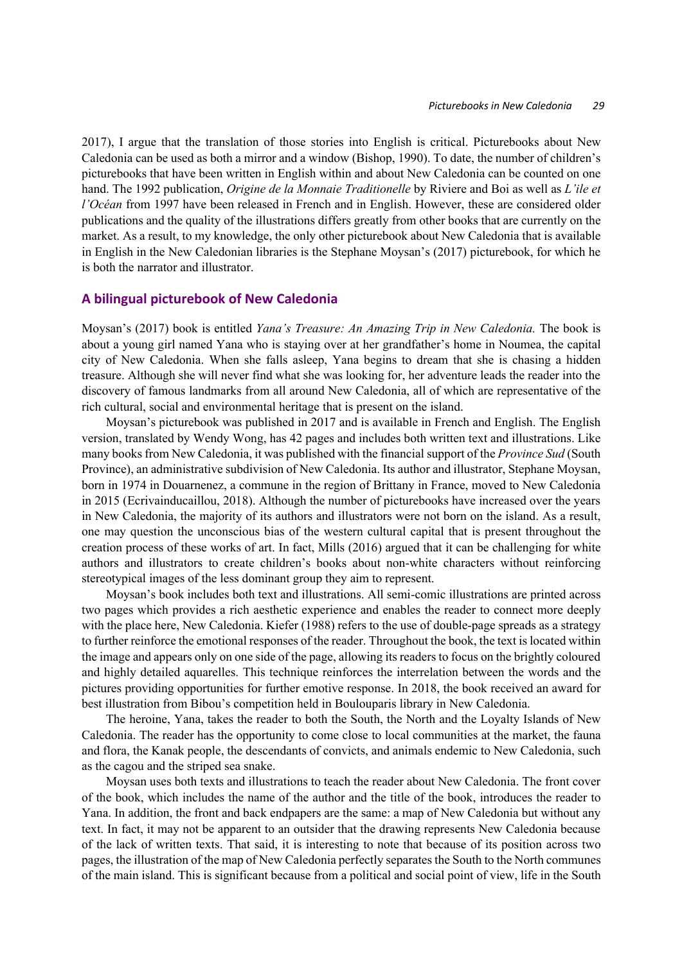2017), I argue that the translation of those stories into English is critical. Picturebooks about New Caledonia can be used as both a mirror and a window (Bishop, 1990). To date, the number of children's picturebooks that have been written in English within and about New Caledonia can be counted on one hand. The 1992 publication, *Origine de la Monnaie Traditionelle* by Riviere and Boi as well as *L'ile et l'Océan* from 1997 have been released in French and in English. However, these are considered older publications and the quality of the illustrations differs greatly from other books that are currently on the market. As a result, to my knowledge, the only other picturebook about New Caledonia that is available in English in the New Caledonian libraries is the Stephane Moysan's (2017) picturebook, for which he is both the narrator and illustrator.

### **A bilingual picturebook of New Caledonia**

Moysan's (2017) book is entitled *Yana's Treasure: An Amazing Trip in New Caledonia.* The book is about a young girl named Yana who is staying over at her grandfather's home in Noumea, the capital city of New Caledonia. When she falls asleep, Yana begins to dream that she is chasing a hidden treasure. Although she will never find what she was looking for, her adventure leads the reader into the discovery of famous landmarks from all around New Caledonia, all of which are representative of the rich cultural, social and environmental heritage that is present on the island.

Moysan's picturebook was published in 2017 and is available in French and English. The English version, translated by Wendy Wong, has 42 pages and includes both written text and illustrations. Like many books from New Caledonia, it was published with the financial support of the *Province Sud* (South Province), an administrative subdivision of New Caledonia. Its author and illustrator, Stephane Moysan, born in 1974 in Douarnenez, a commune in the region of Brittany in France, moved to New Caledonia in 2015 (Ecrivainducaillou, 2018). Although the number of picturebooks have increased over the years in New Caledonia, the majority of its authors and illustrators were not born on the island. As a result, one may question the unconscious bias of the western cultural capital that is present throughout the creation process of these works of art. In fact, Mills (2016) argued that it can be challenging for white authors and illustrators to create children's books about non-white characters without reinforcing stereotypical images of the less dominant group they aim to represent.

Moysan's book includes both text and illustrations. All semi-comic illustrations are printed across two pages which provides a rich aesthetic experience and enables the reader to connect more deeply with the place here, New Caledonia. Kiefer (1988) refers to the use of double-page spreads as a strategy to further reinforce the emotional responses of the reader. Throughout the book, the text is located within the image and appears only on one side of the page, allowing its readers to focus on the brightly coloured and highly detailed aquarelles. This technique reinforces the interrelation between the words and the pictures providing opportunities for further emotive response. In 2018, the book received an award for best illustration from Bibou's competition held in Boulouparis library in New Caledonia.

The heroine, Yana, takes the reader to both the South, the North and the Loyalty Islands of New Caledonia. The reader has the opportunity to come close to local communities at the market, the fauna and flora, the Kanak people, the descendants of convicts, and animals endemic to New Caledonia, such as the cagou and the striped sea snake.

Moysan uses both texts and illustrations to teach the reader about New Caledonia. The front cover of the book, which includes the name of the author and the title of the book, introduces the reader to Yana. In addition, the front and back endpapers are the same: a map of New Caledonia but without any text. In fact, it may not be apparent to an outsider that the drawing represents New Caledonia because of the lack of written texts. That said, it is interesting to note that because of its position across two pages, the illustration of the map of New Caledonia perfectly separates the South to the North communes of the main island. This is significant because from a political and social point of view, life in the South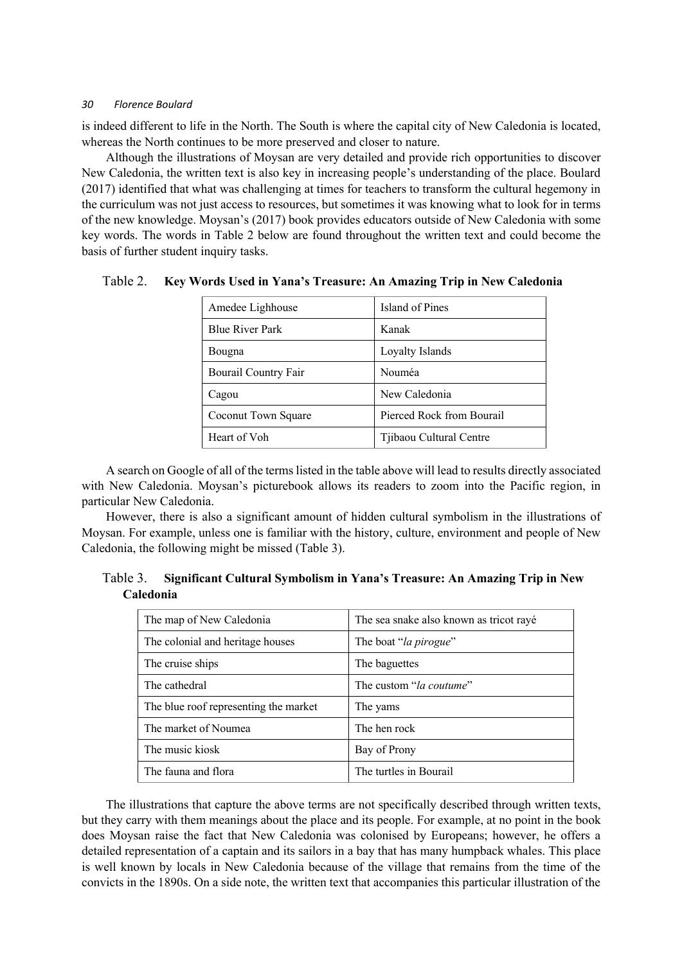is indeed different to life in the North. The South is where the capital city of New Caledonia is located, whereas the North continues to be more preserved and closer to nature.

Although the illustrations of Moysan are very detailed and provide rich opportunities to discover New Caledonia, the written text is also key in increasing people's understanding of the place. Boulard (2017) identified that what was challenging at times for teachers to transform the cultural hegemony in the curriculum was not just access to resources, but sometimes it was knowing what to look for in terms of the new knowledge. Moysan's (2017) book provides educators outside of New Caledonia with some key words. The words in Table 2 below are found throughout the written text and could become the basis of further student inquiry tasks.

| Amedee Lighhouse       | Island of Pines           |  |
|------------------------|---------------------------|--|
| <b>Blue River Park</b> | Kanak                     |  |
| Bougna                 | Loyalty Islands           |  |
| Bourail Country Fair   | Nouméa                    |  |
| Cagou                  | New Caledonia             |  |
| Coconut Town Square    | Pierced Rock from Bourail |  |
| Heart of Voh           | Tjibaou Cultural Centre   |  |

Table 2. **Key Words Used in Yana's Treasure: An Amazing Trip in New Caledonia**

A search on Google of all of the terms listed in the table above will lead to results directly associated with New Caledonia. Moysan's picturebook allows its readers to zoom into the Pacific region, in particular New Caledonia.

However, there is also a significant amount of hidden cultural symbolism in the illustrations of Moysan. For example, unless one is familiar with the history, culture, environment and people of New Caledonia, the following might be missed (Table 3).

|                  | Table 3. Significant Cultural Symbolism in Yana's Treasure: An Amazing Trip in New |
|------------------|------------------------------------------------------------------------------------|
| <b>Caledonia</b> |                                                                                    |

| The map of New Caledonia              | The sea snake also known as tricot rayé |  |
|---------------------------------------|-----------------------------------------|--|
| The colonial and heritage houses      | The boat "la pirogue"                   |  |
| The cruise ships                      | The baguettes                           |  |
| The cathedral                         | The custom " <i>la coutume</i> "        |  |
| The blue roof representing the market | The yams                                |  |
| The market of Noumea                  | The hen rock                            |  |
| The music kiosk                       | Bay of Prony                            |  |
| The fauna and flora                   | The turtles in Bourail                  |  |

The illustrations that capture the above terms are not specifically described through written texts, but they carry with them meanings about the place and its people. For example, at no point in the book does Moysan raise the fact that New Caledonia was colonised by Europeans; however, he offers a detailed representation of a captain and its sailors in a bay that has many humpback whales. This place is well known by locals in New Caledonia because of the village that remains from the time of the convicts in the 1890s. On a side note, the written text that accompanies this particular illustration of the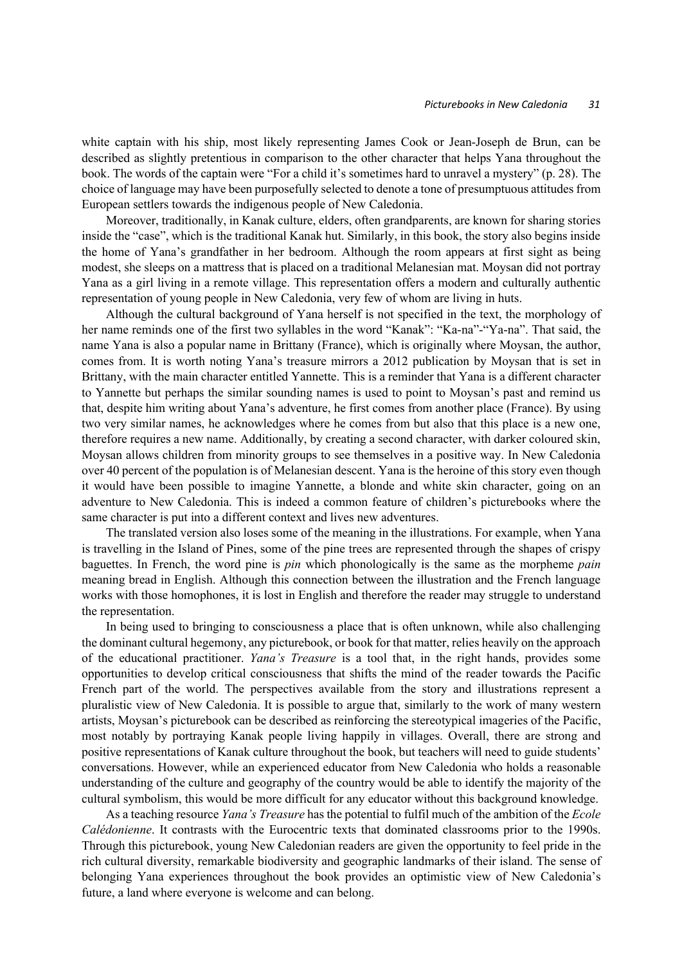white captain with his ship, most likely representing James Cook or Jean-Joseph de Brun, can be described as slightly pretentious in comparison to the other character that helps Yana throughout the book. The words of the captain were "For a child it's sometimes hard to unravel a mystery" (p. 28). The choice of language may have been purposefully selected to denote a tone of presumptuous attitudes from European settlers towards the indigenous people of New Caledonia.

Moreover, traditionally, in Kanak culture, elders, often grandparents, are known for sharing stories inside the "case", which is the traditional Kanak hut. Similarly, in this book, the story also begins inside the home of Yana's grandfather in her bedroom. Although the room appears at first sight as being modest, she sleeps on a mattress that is placed on a traditional Melanesian mat. Moysan did not portray Yana as a girl living in a remote village. This representation offers a modern and culturally authentic representation of young people in New Caledonia, very few of whom are living in huts.

Although the cultural background of Yana herself is not specified in the text, the morphology of her name reminds one of the first two syllables in the word "Kanak": "Ka-na"-"Ya-na". That said, the name Yana is also a popular name in Brittany (France), which is originally where Moysan, the author, comes from. It is worth noting Yana's treasure mirrors a 2012 publication by Moysan that is set in Brittany, with the main character entitled Yannette. This is a reminder that Yana is a different character to Yannette but perhaps the similar sounding names is used to point to Moysan's past and remind us that, despite him writing about Yana's adventure, he first comes from another place (France). By using two very similar names, he acknowledges where he comes from but also that this place is a new one, therefore requires a new name. Additionally, by creating a second character, with darker coloured skin, Moysan allows children from minority groups to see themselves in a positive way. In New Caledonia over 40 percent of the population is of Melanesian descent. Yana is the heroine of this story even though it would have been possible to imagine Yannette, a blonde and white skin character, going on an adventure to New Caledonia. This is indeed a common feature of children's picturebooks where the same character is put into a different context and lives new adventures.

The translated version also loses some of the meaning in the illustrations. For example, when Yana is travelling in the Island of Pines, some of the pine trees are represented through the shapes of crispy baguettes. In French, the word pine is *pin* which phonologically is the same as the morpheme *pain* meaning bread in English. Although this connection between the illustration and the French language works with those homophones, it is lost in English and therefore the reader may struggle to understand the representation.

In being used to bringing to consciousness a place that is often unknown, while also challenging the dominant cultural hegemony, any picturebook, or book for that matter, relies heavily on the approach of the educational practitioner. *Yana's Treasure* is a tool that, in the right hands, provides some opportunities to develop critical consciousness that shifts the mind of the reader towards the Pacific French part of the world. The perspectives available from the story and illustrations represent a pluralistic view of New Caledonia. It is possible to argue that, similarly to the work of many western artists, Moysan's picturebook can be described as reinforcing the stereotypical imageries of the Pacific, most notably by portraying Kanak people living happily in villages. Overall, there are strong and positive representations of Kanak culture throughout the book, but teachers will need to guide students' conversations. However, while an experienced educator from New Caledonia who holds a reasonable understanding of the culture and geography of the country would be able to identify the majority of the cultural symbolism, this would be more difficult for any educator without this background knowledge.

As a teaching resource *Yana's Treasure* has the potential to fulfil much of the ambition of the *Ecole Calédonienne*. It contrasts with the Eurocentric texts that dominated classrooms prior to the 1990s. Through this picturebook, young New Caledonian readers are given the opportunity to feel pride in the rich cultural diversity, remarkable biodiversity and geographic landmarks of their island. The sense of belonging Yana experiences throughout the book provides an optimistic view of New Caledonia's future, a land where everyone is welcome and can belong.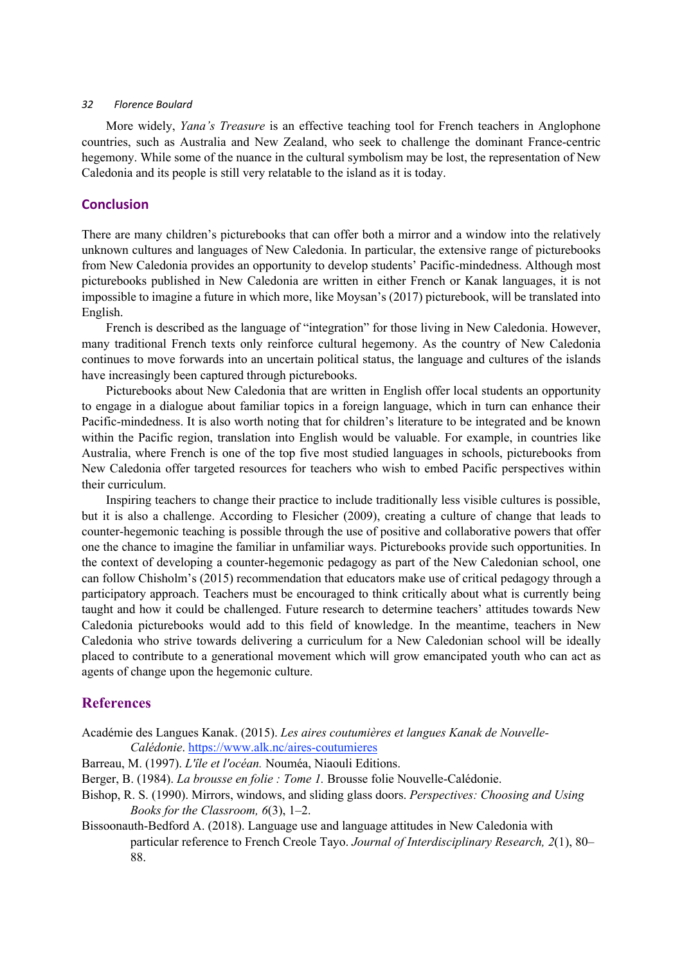More widely, *Yana's Treasure* is an effective teaching tool for French teachers in Anglophone countries, such as Australia and New Zealand, who seek to challenge the dominant France-centric hegemony. While some of the nuance in the cultural symbolism may be lost, the representation of New Caledonia and its people is still very relatable to the island as it is today.

### **Conclusion**

There are many children's picturebooks that can offer both a mirror and a window into the relatively unknown cultures and languages of New Caledonia. In particular, the extensive range of picturebooks from New Caledonia provides an opportunity to develop students' Pacific-mindedness. Although most picturebooks published in New Caledonia are written in either French or Kanak languages, it is not impossible to imagine a future in which more, like Moysan's (2017) picturebook, will be translated into English.

French is described as the language of "integration" for those living in New Caledonia. However, many traditional French texts only reinforce cultural hegemony. As the country of New Caledonia continues to move forwards into an uncertain political status, the language and cultures of the islands have increasingly been captured through picturebooks.

Picturebooks about New Caledonia that are written in English offer local students an opportunity to engage in a dialogue about familiar topics in a foreign language, which in turn can enhance their Pacific-mindedness. It is also worth noting that for children's literature to be integrated and be known within the Pacific region, translation into English would be valuable. For example, in countries like Australia, where French is one of the top five most studied languages in schools, picturebooks from New Caledonia offer targeted resources for teachers who wish to embed Pacific perspectives within their curriculum.

Inspiring teachers to change their practice to include traditionally less visible cultures is possible, but it is also a challenge. According to Flesicher (2009), creating a culture of change that leads to counter-hegemonic teaching is possible through the use of positive and collaborative powers that offer one the chance to imagine the familiar in unfamiliar ways. Picturebooks provide such opportunities. In the context of developing a counter-hegemonic pedagogy as part of the New Caledonian school, one can follow Chisholm's (2015) recommendation that educators make use of critical pedagogy through a participatory approach. Teachers must be encouraged to think critically about what is currently being taught and how it could be challenged. Future research to determine teachers' attitudes towards New Caledonia picturebooks would add to this field of knowledge. In the meantime, teachers in New Caledonia who strive towards delivering a curriculum for a New Caledonian school will be ideally placed to contribute to a generational movement which will grow emancipated youth who can act as agents of change upon the hegemonic culture.

# **References**

- Académie des Langues Kanak. (2015). *Les aires coutumières et langues Kanak de Nouvelle-Calédonie*. https://www.alk.nc/aires-coutumieres
- Barreau, M. (1997). *L'île et l'océan.* Nouméa, Niaouli Editions.
- Berger, B. (1984). *La brousse en folie : Tome 1.* Brousse folie Nouvelle-Calédonie.
- Bishop, R. S. (1990). Mirrors, windows, and sliding glass doors. *Perspectives: Choosing and Using Books for the Classroom, 6*(3), 1–2.
- Bissoonauth-Bedford A. (2018). Language use and language attitudes in New Caledonia with particular reference to French Creole Tayo. *Journal of Interdisciplinary Research, 2*(1), 80– 88.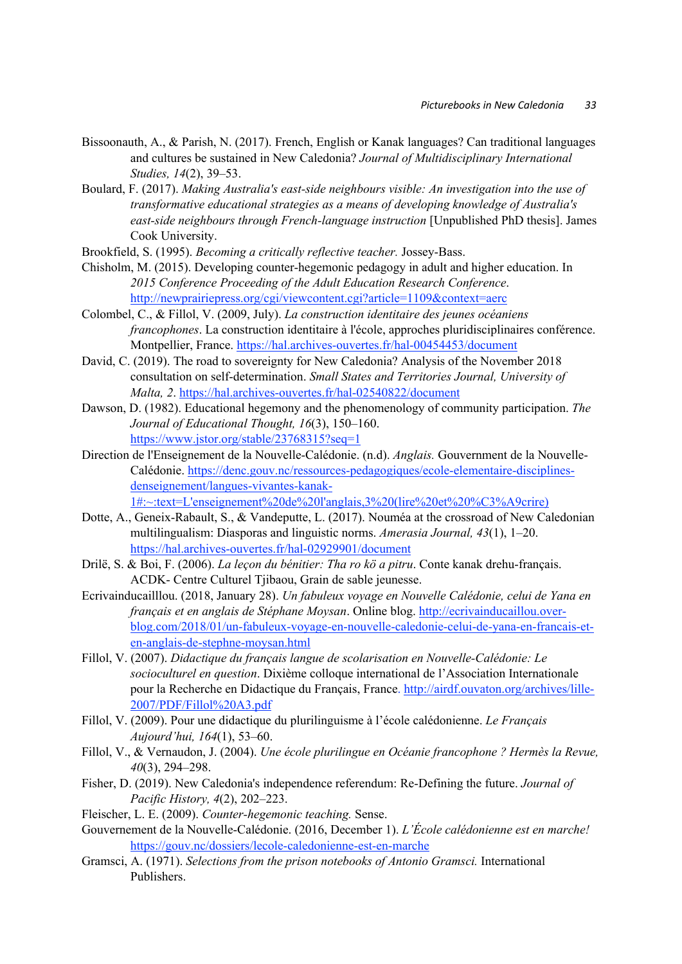- Bissoonauth, A., & Parish, N. (2017). French, English or Kanak languages? Can traditional languages and cultures be sustained in New Caledonia? *Journal of Multidisciplinary International Studies, 14*(2), 39–53.
- Boulard, F. (2017). *Making Australia's east-side neighbours visible: An investigation into the use of transformative educational strategies as a means of developing knowledge of Australia's east-side neighbours through French-language instruction* [Unpublished PhD thesis]. James Cook University.
- Brookfield, S. (1995). *Becoming a critically reflective teacher.* Jossey-Bass.
- Chisholm, M. (2015). Developing counter-hegemonic pedagogy in adult and higher education. In *2015 Conference Proceeding of the Adult Education Research Conference*. http://newprairiepress.org/cgi/viewcontent.cgi?article=1109&context=aerc
- Colombel, C., & Fillol, V. (2009, July). *La construction identitaire des jeunes océaniens francophones*. La construction identitaire à l'école, approches pluridisciplinaires conférence. Montpellier, France. https://hal.archives-ouvertes.fr/hal-00454453/document
- David, C. (2019). The road to sovereignty for New Caledonia? Analysis of the November 2018 consultation on self-determination. *Small States and Territories Journal, University of Malta, 2*. https://hal.archives-ouvertes.fr/hal-02540822/document
- Dawson, D. (1982). Educational hegemony and the phenomenology of community participation. *The Journal of Educational Thought, 16*(3), 150–160. https://www.jstor.org/stable/23768315?seq=1
- Direction de l'Enseignement de la Nouvelle-Calédonie. (n.d). *Anglais.* Gouvernment de la Nouvelle-Calédonie. https://denc.gouv.nc/ressources-pedagogiques/ecole-elementaire-disciplinesdenseignement/langues-vivantes-kanak-1#:~:text=L'enseignement%20de%20l'anglais,3%20(lire%20et%20%C3%A9crire)
- Dotte, A., Geneix-Rabault, S., & Vandeputte, L. (2017). Nouméa at the crossroad of New Caledonian multilingualism: Diasporas and linguistic norms. *Amerasia Journal, 43*(1), 1–20. https://hal.archives-ouvertes.fr/hal-02929901/document
- Drilë, S. & Boi, F. (2006). *La leçon du bénitier: Tha ro kö a pitru*. Conte kanak drehu-français. ACDK- Centre Culturel Tjibaou, Grain de sable jeunesse.
- Ecrivainducailllou. (2018, January 28). *Un fabuleux voyage en Nouvelle Calédonie, celui de Yana en français et en anglais de Stéphane Moysan*. Online blog. http://ecrivainducaillou.overblog.com/2018/01/un-fabuleux-voyage-en-nouvelle-caledonie-celui-de-yana-en-francais-eten-anglais-de-stephne-moysan.html
- Fillol, V. (2007). *Didactique du français langue de scolarisation en Nouvelle-Calédonie: Le socioculturel en question*. Dixième colloque international de l'Association Internationale pour la Recherche en Didactique du Français, France. http://airdf.ouvaton.org/archives/lille-2007/PDF/Fillol%20A3.pdf
- Fillol, V. (2009). Pour une didactique du plurilinguisme à l'école calédonienne. *Le Français Aujourd'hui, 164*(1), 53–60.
- Fillol, V., & Vernaudon, J. (2004). *Une école plurilingue en Océanie francophone ? Hermès la Revue, 40*(3), 294–298.
- Fisher, D. (2019). New Caledonia's independence referendum: Re-Defining the future. *Journal of Pacific History, 4*(2), 202–223.
- Fleischer, L. E. (2009). *Counter-hegemonic teaching.* Sense.
- Gouvernement de la Nouvelle-Calédonie. (2016, December 1). *L'École calédonienne est en marche!* https://gouv.nc/dossiers/lecole-caledonienne-est-en-marche
- Gramsci, A. (1971). *Selections from the prison notebooks of Antonio Gramsci.* International Publishers.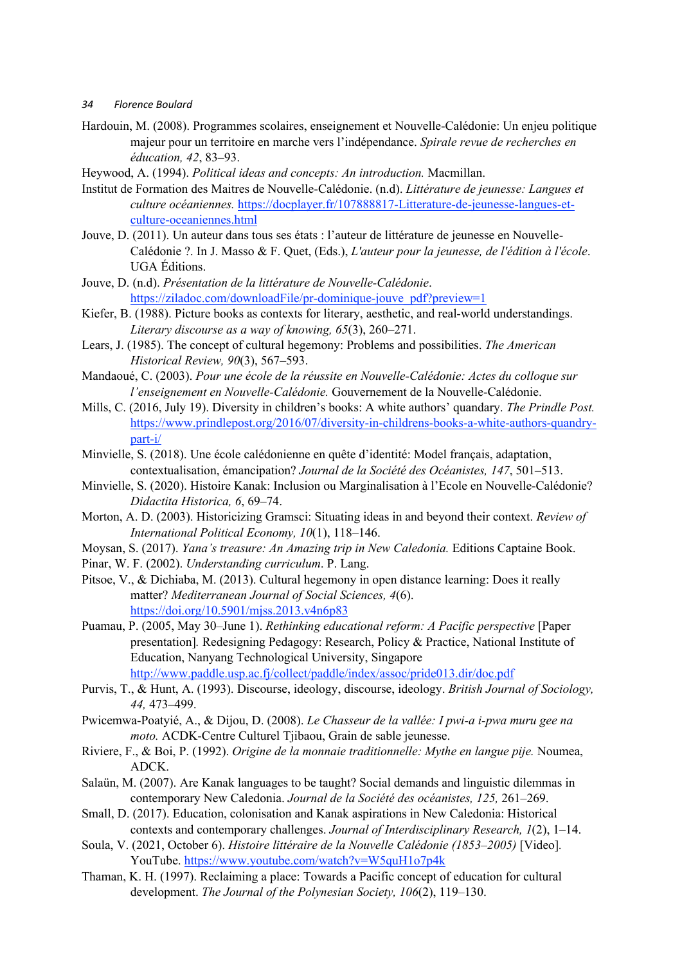- Hardouin, M. (2008). Programmes scolaires, enseignement et Nouvelle-Calédonie: Un enjeu politique majeur pour un territoire en marche vers l'indépendance. *Spirale revue de recherches en éducation, 42*, 83–93.
- Heywood, A. (1994). *Political ideas and concepts: An introduction.* Macmillan.
- Institut de Formation des Maitres de Nouvelle-Calédonie. (n.d). *Littérature de jeunesse: Langues et culture océaniennes.* https://docplayer.fr/107888817-Litterature-de-jeunesse-langues-etculture-oceaniennes.html
- Jouve, D. (2011). Un auteur dans tous ses états : l'auteur de littérature de jeunesse en Nouvelle-Calédonie ?. In J. Masso & F. Quet, (Eds.), *L'auteur pour la jeunesse, de l'édition à l'école*. UGA Éditions.
- Jouve, D. (n.d). *Présentation de la littérature de Nouvelle-Calédonie*. https://ziladoc.com/downloadFile/pr-dominique-jouve\_pdf?preview=1
- Kiefer, B. (1988). Picture books as contexts for literary, aesthetic, and real-world understandings. *Literary discourse as a way of knowing, 65*(3), 260–271.
- Lears, J. (1985). The concept of cultural hegemony: Problems and possibilities. *The American Historical Review, 90*(3), 567–593.
- Mandaoué, C. (2003). *Pour une école de la réussite en Nouvelle-Calédonie: Actes du colloque sur l'enseignement en Nouvelle-Calédonie.* Gouvernement de la Nouvelle-Calédonie.
- Mills, C. (2016, July 19). Diversity in children's books: A white authors' quandary. *The Prindle Post.*  https://www.prindlepost.org/2016/07/diversity-in-childrens-books-a-white-authors-quandrypart-i/
- Minvielle, S. (2018). Une école calédonienne en quête d'identité: Model français, adaptation, contextualisation, émancipation? *Journal de la Société des Océanistes, 147*, 501–513.
- Minvielle, S. (2020). Histoire Kanak: Inclusion ou Marginalisation à l'Ecole en Nouvelle-Calédonie? *Didactita Historica, 6*, 69–74.
- Morton, A. D. (2003). Historicizing Gramsci: Situating ideas in and beyond their context. *Review of International Political Economy, 10*(1), 118–146.
- Moysan, S. (2017). *Yana's treasure: An Amazing trip in New Caledonia.* Editions Captaine Book.
- Pinar, W. F. (2002). *Understanding curriculum*. P. Lang.
- Pitsoe, V., & Dichiaba, M. (2013). Cultural hegemony in open distance learning: Does it really matter? *Mediterranean Journal of Social Sciences, 4*(6). https://doi.org/10.5901/mjss.2013.v4n6p83
- Puamau, P. (2005, May 30–June 1). *Rethinking educational reform: A Pacific perspective* [Paper presentation]*.* Redesigning Pedagogy: Research, Policy & Practice, National Institute of Education, Nanyang Technological University, Singapore http://www.paddle.usp.ac.fj/collect/paddle/index/assoc/pride013.dir/doc.pdf
- Purvis, T., & Hunt, A. (1993). Discourse, ideology, discourse, ideology. *British Journal of Sociology, 44,* 473–499.
- Pwicemwa-Poatyié, A., & Dijou, D. (2008). *Le Chasseur de la vallée: I pwi-a i-pwa muru gee na moto.* ACDK-Centre Culturel Tjibaou, Grain de sable jeunesse.
- Riviere, F., & Boi, P. (1992). *Origine de la monnaie traditionnelle: Mythe en langue pije.* Noumea, ADCK.
- Salaün, M. (2007). Are Kanak languages to be taught? Social demands and linguistic dilemmas in contemporary New Caledonia. *Journal de la Société des océanistes, 125,* 261–269.
- Small, D. (2017). Education, colonisation and Kanak aspirations in New Caledonia: Historical contexts and contemporary challenges. *Journal of Interdisciplinary Research, 1*(2), 1–14.
- Soula, V. (2021, October 6). *Histoire littéraire de la Nouvelle Calédonie (1853–2005)* [Video]*.* YouTube. https://www.youtube.com/watch?v=W5quH1o7p4k
- Thaman, K. H. (1997). Reclaiming a place: Towards a Pacific concept of education for cultural development. *The Journal of the Polynesian Society, 106*(2), 119–130.